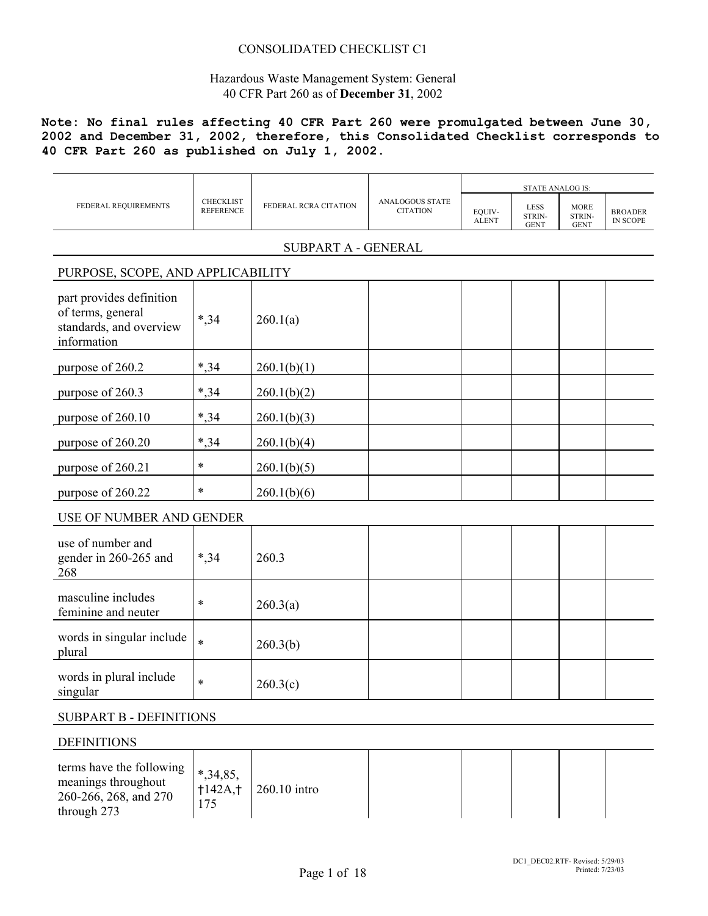## CONSOLIDATED CHECKLIST C1

## Hazardous Waste Management System: General 40 CFR Part 260 as of **December 31**, 2002

## **Note: No final rules affecting 40 CFR Part 260 were promulgated between June 30, 2002 and December 31, 2002, therefore, this Consolidated Checklist corresponds to 40 CFR Part 260 as published on July 1, 2002.**

| FEDERAL REQUIREMENTS                                                                    | <b>CHECKLIST</b><br><b>REFERENCE</b> | FEDERAL RCRA CITATION | <b>ANALOGOUS STATE</b><br><b>CITATION</b> | EQUIV-<br><b>ALENT</b> | <b>LESS</b><br>STRIN-<br><b>GENT</b> | <b>MORE</b><br>STRIN-<br><b>GENT</b> | <b>BROADER</b><br><b>IN SCOPE</b> |
|-----------------------------------------------------------------------------------------|--------------------------------------|-----------------------|-------------------------------------------|------------------------|--------------------------------------|--------------------------------------|-----------------------------------|
|                                                                                         |                                      | SUBPART A - GENERAL   |                                           |                        |                                      |                                      |                                   |
| PURPOSE, SCOPE, AND APPLICABILITY                                                       |                                      |                       |                                           |                        |                                      |                                      |                                   |
| part provides definition<br>of terms, general<br>standards, and overview<br>information | $*, 34$                              | 260.1(a)              |                                           |                        |                                      |                                      |                                   |
| purpose of 260.2                                                                        | $*, 34$                              | 260.1(b)(1)           |                                           |                        |                                      |                                      |                                   |
| purpose of 260.3                                                                        | $*, 34$                              | 260.1(b)(2)           |                                           |                        |                                      |                                      |                                   |
| purpose of 260.10                                                                       | $*, 34$                              | 260.1(b)(3)           |                                           |                        |                                      |                                      |                                   |
| purpose of 260.20                                                                       | *,34                                 | 260.1(b)(4)           |                                           |                        |                                      |                                      |                                   |
| purpose of 260.21                                                                       | $\ast$                               | 260.1(b)(5)           |                                           |                        |                                      |                                      |                                   |
| purpose of 260.22                                                                       | $\ast$                               | 260.1(b)(6)           |                                           |                        |                                      |                                      |                                   |
| USE OF NUMBER AND GENDER                                                                |                                      |                       |                                           |                        |                                      |                                      |                                   |
| use of number and<br>gender in 260-265 and<br>268                                       | $*, 34$                              | 260.3                 |                                           |                        |                                      |                                      |                                   |
| masculine includes<br>feminine and neuter                                               | $\ast$                               | 260.3(a)              |                                           |                        |                                      |                                      |                                   |
| words in singular include<br>plural                                                     | $\ast$                               | 260.3(b)              |                                           |                        |                                      |                                      |                                   |
| words in plural include<br>singular                                                     | $\ast$                               | 260.3(c)              |                                           |                        |                                      |                                      |                                   |
| <b>SUBPART B - DEFINITIONS</b>                                                          |                                      |                       |                                           |                        |                                      |                                      |                                   |

### DEFINITIONS

| <b>DEFINITIONS</b>                                                                      |                                  |                |  |  |  |
|-----------------------------------------------------------------------------------------|----------------------------------|----------------|--|--|--|
| terms have the following<br>meanings throughout<br>260-266, 268, and 270<br>through 273 | $*, 34, 85,$<br>$+142A, +$<br>75 | $260.10$ intro |  |  |  |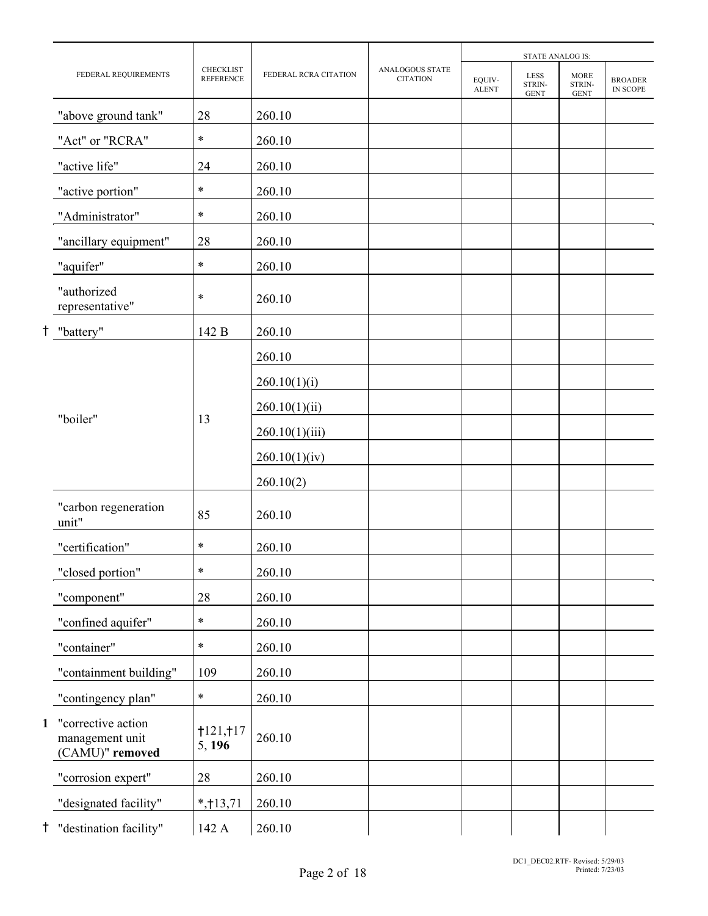|    |                                                          |                                      |                       |                                           |                        | STATE ANALOG IS:                     |                                      |                            |
|----|----------------------------------------------------------|--------------------------------------|-----------------------|-------------------------------------------|------------------------|--------------------------------------|--------------------------------------|----------------------------|
|    | FEDERAL REQUIREMENTS                                     | <b>CHECKLIST</b><br><b>REFERENCE</b> | FEDERAL RCRA CITATION | <b>ANALOGOUS STATE</b><br><b>CITATION</b> | EQUIV-<br><b>ALENT</b> | <b>LESS</b><br>STRIN-<br><b>GENT</b> | <b>MORE</b><br>STRIN-<br><b>GENT</b> | <b>BROADER</b><br>IN SCOPE |
|    | "above ground tank"                                      | 28                                   | 260.10                |                                           |                        |                                      |                                      |                            |
|    | "Act" or "RCRA"                                          | $\ast$                               | 260.10                |                                           |                        |                                      |                                      |                            |
|    | "active life"                                            | 24                                   | 260.10                |                                           |                        |                                      |                                      |                            |
|    | "active portion"                                         | $\ast$                               | 260.10                |                                           |                        |                                      |                                      |                            |
|    | "Administrator"                                          | $\ast$                               | 260.10                |                                           |                        |                                      |                                      |                            |
|    | "ancillary equipment"                                    | 28                                   | 260.10                |                                           |                        |                                      |                                      |                            |
|    | "aquifer"                                                | $\ast$                               | 260.10                |                                           |                        |                                      |                                      |                            |
|    | "authorized<br>representative"                           | $\ast$                               | 260.10                |                                           |                        |                                      |                                      |                            |
| Ť. | "battery"                                                | 142 B                                | 260.10                |                                           |                        |                                      |                                      |                            |
|    |                                                          |                                      | 260.10                |                                           |                        |                                      |                                      |                            |
|    |                                                          |                                      | 260.10(1)(i)          |                                           |                        |                                      |                                      |                            |
|    | "boiler"<br>13                                           |                                      | 260.10(1)(ii)         |                                           |                        |                                      |                                      |                            |
|    |                                                          |                                      | 260.10(1)(iii)        |                                           |                        |                                      |                                      |                            |
|    |                                                          |                                      | 260.10(1)(iv)         |                                           |                        |                                      |                                      |                            |
|    |                                                          |                                      | 260.10(2)             |                                           |                        |                                      |                                      |                            |
|    | "carbon regeneration<br>unit"                            | 85                                   | 260.10                |                                           |                        |                                      |                                      |                            |
|    | "certification"                                          | $\ast$                               | 260.10                |                                           |                        |                                      |                                      |                            |
|    | "closed portion"                                         | $\ast$                               | 260.10                |                                           |                        |                                      |                                      |                            |
|    | "component"                                              | 28                                   | 260.10                |                                           |                        |                                      |                                      |                            |
|    | "confined aquifer"                                       | $\ast$                               | 260.10                |                                           |                        |                                      |                                      |                            |
|    | "container"                                              | $\ast$                               | 260.10                |                                           |                        |                                      |                                      |                            |
|    | "containment building"                                   | 109                                  | 260.10                |                                           |                        |                                      |                                      |                            |
|    | "contingency plan"                                       | $\ast$                               | 260.10                |                                           |                        |                                      |                                      |                            |
| 1  | "corrective action<br>management unit<br>(CAMU)" removed | †121, †17<br>5, 196                  | 260.10                |                                           |                        |                                      |                                      |                            |
|    | "corrosion expert"                                       | 28                                   | 260.10                |                                           |                        |                                      |                                      |                            |
|    | "designated facility"                                    | $*,+13,71$                           | 260.10                |                                           |                        |                                      |                                      |                            |
| Ť. | "destination facility"                                   | 142 A                                | 260.10                |                                           |                        |                                      |                                      |                            |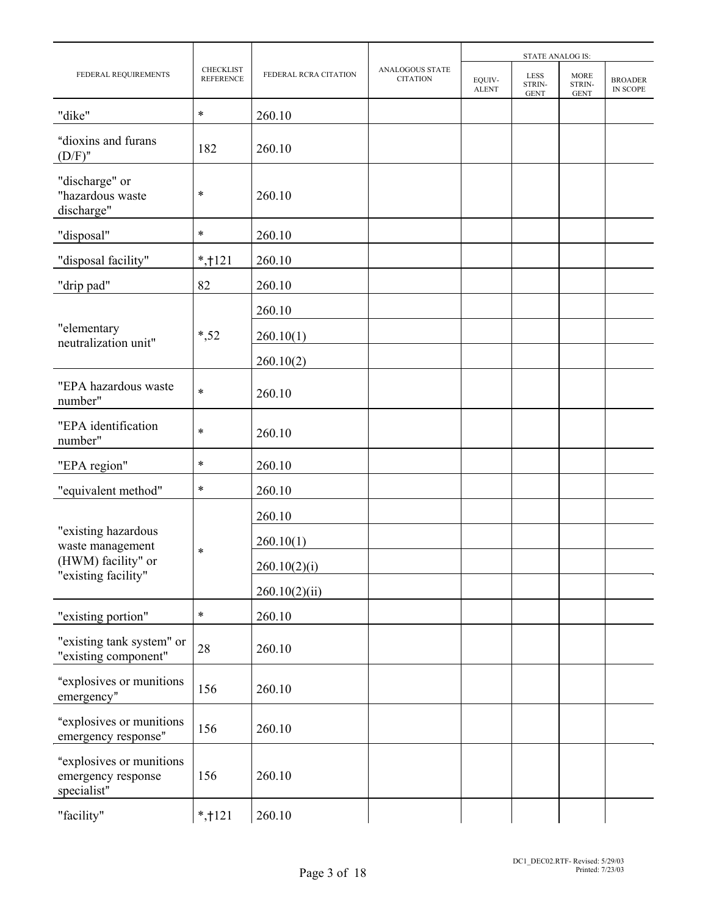|                                                               |                                      |                       |                                    |                        | STATE ANALOG IS:                     |                                      |                            |
|---------------------------------------------------------------|--------------------------------------|-----------------------|------------------------------------|------------------------|--------------------------------------|--------------------------------------|----------------------------|
| FEDERAL REQUIREMENTS                                          | <b>CHECKLIST</b><br><b>REFERENCE</b> | FEDERAL RCRA CITATION | ANALOGOUS STATE<br><b>CITATION</b> | EQUIV-<br><b>ALENT</b> | <b>LESS</b><br>STRIN-<br><b>GENT</b> | <b>MORE</b><br>STRIN-<br><b>GENT</b> | <b>BROADER</b><br>IN SCOPE |
| "dike"                                                        | $\ast$                               | 260.10                |                                    |                        |                                      |                                      |                            |
| "dioxins and furans<br>$(D/F)$ "                              | 182                                  | 260.10                |                                    |                        |                                      |                                      |                            |
| "discharge" or<br>"hazardous waste<br>discharge"              | $\ast$                               | 260.10                |                                    |                        |                                      |                                      |                            |
| "disposal"                                                    | *                                    | 260.10                |                                    |                        |                                      |                                      |                            |
| "disposal facility"                                           | $*$ , † 121                          | 260.10                |                                    |                        |                                      |                                      |                            |
| "drip pad"                                                    | 82                                   | 260.10                |                                    |                        |                                      |                                      |                            |
|                                                               |                                      | 260.10                |                                    |                        |                                      |                                      |                            |
| "elementary<br>neutralization unit"                           | $*, 52$                              | 260.10(1)             |                                    |                        |                                      |                                      |                            |
|                                                               |                                      | 260.10(2)             |                                    |                        |                                      |                                      |                            |
| "EPA hazardous waste<br>number"                               | $\ast$                               | 260.10                |                                    |                        |                                      |                                      |                            |
| "EPA identification<br>number"                                | $\ast$                               | 260.10                |                                    |                        |                                      |                                      |                            |
| "EPA region"                                                  | $\ast$                               | 260.10                |                                    |                        |                                      |                                      |                            |
| "equivalent method"                                           | $\ast$                               | 260.10                |                                    |                        |                                      |                                      |                            |
|                                                               |                                      | 260.10                |                                    |                        |                                      |                                      |                            |
| "existing hazardous<br>waste management                       |                                      | 260.10(1)             |                                    |                        |                                      |                                      |                            |
| (HWM) facility" or                                            | $\ast$                               | 260.10(2)(i)          |                                    |                        |                                      |                                      |                            |
| "existing facility"                                           |                                      | 260.10(2)(ii)         |                                    |                        |                                      |                                      |                            |
| "existing portion"                                            | $\ast$                               | 260.10                |                                    |                        |                                      |                                      |                            |
| "existing tank system" or<br>"existing component"             | 28                                   | 260.10                |                                    |                        |                                      |                                      |                            |
| "explosives or munitions<br>emergency"                        | 156                                  | 260.10                |                                    |                        |                                      |                                      |                            |
| "explosives or munitions<br>emergency response"               | 156                                  | 260.10                |                                    |                        |                                      |                                      |                            |
| "explosives or munitions<br>emergency response<br>specialist" | 156                                  | 260.10                |                                    |                        |                                      |                                      |                            |
| "facility"                                                    | $*,121$                              | 260.10                |                                    |                        |                                      |                                      |                            |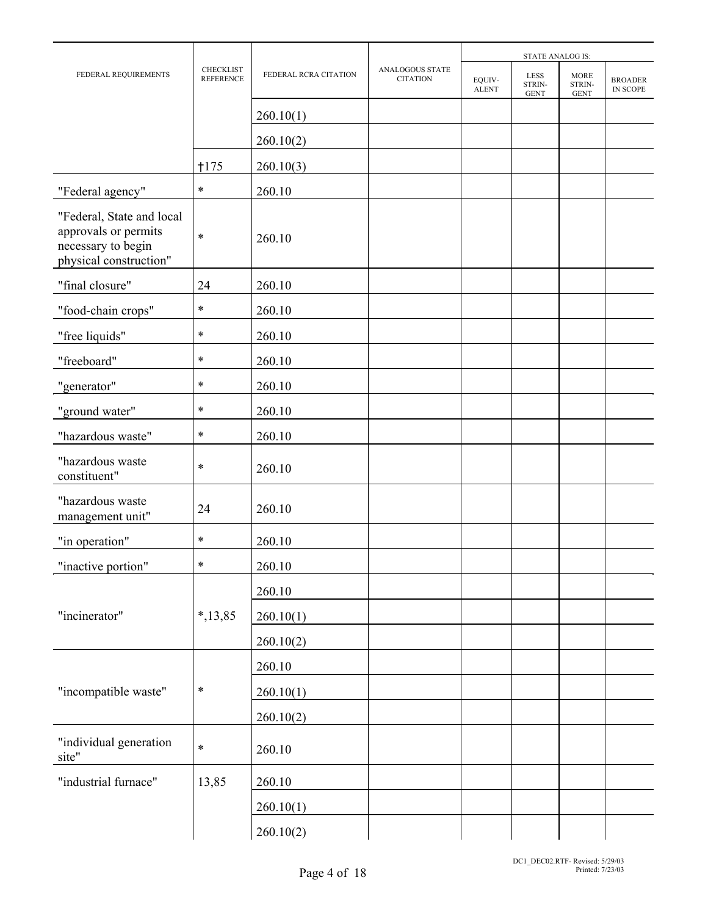|                                                                                                   |                                      |                       |                                    |                        | <b>STATE ANALOG IS:</b>              |                                      |                            |
|---------------------------------------------------------------------------------------------------|--------------------------------------|-----------------------|------------------------------------|------------------------|--------------------------------------|--------------------------------------|----------------------------|
| FEDERAL REQUIREMENTS                                                                              | <b>CHECKLIST</b><br><b>REFERENCE</b> | FEDERAL RCRA CITATION | ANALOGOUS STATE<br><b>CITATION</b> | EQUIV-<br><b>ALENT</b> | <b>LESS</b><br>STRIN-<br><b>GENT</b> | <b>MORE</b><br>STRIN-<br><b>GENT</b> | <b>BROADER</b><br>IN SCOPE |
|                                                                                                   |                                      | 260.10(1)             |                                    |                        |                                      |                                      |                            |
|                                                                                                   |                                      | 260.10(2)             |                                    |                        |                                      |                                      |                            |
|                                                                                                   | $+175$                               | 260.10(3)             |                                    |                        |                                      |                                      |                            |
| "Federal agency"                                                                                  | $\ast$                               | 260.10                |                                    |                        |                                      |                                      |                            |
| "Federal, State and local<br>approvals or permits<br>necessary to begin<br>physical construction" | $\ast$                               | 260.10                |                                    |                        |                                      |                                      |                            |
| "final closure"                                                                                   | 24                                   | 260.10                |                                    |                        |                                      |                                      |                            |
| "food-chain crops"                                                                                | $\ast$                               | 260.10                |                                    |                        |                                      |                                      |                            |
| "free liquids"                                                                                    | $\ast$                               | 260.10                |                                    |                        |                                      |                                      |                            |
| "freeboard"                                                                                       | $\ast$                               | 260.10                |                                    |                        |                                      |                                      |                            |
| "generator"                                                                                       | $\ast$                               | 260.10                |                                    |                        |                                      |                                      |                            |
| "ground water"                                                                                    | $\ast$                               | 260.10                |                                    |                        |                                      |                                      |                            |
| "hazardous waste"                                                                                 | $\ast$                               | 260.10                |                                    |                        |                                      |                                      |                            |
| "hazardous waste<br>constituent"                                                                  | $\ast$                               | 260.10                |                                    |                        |                                      |                                      |                            |
| "hazardous waste<br>management unit"                                                              | 24                                   | 260.10                |                                    |                        |                                      |                                      |                            |
| "in operation"                                                                                    | $\ast$                               | 260.10                |                                    |                        |                                      |                                      |                            |
| "inactive portion"                                                                                | $\ast$                               | 260.10                |                                    |                        |                                      |                                      |                            |
|                                                                                                   |                                      | 260.10                |                                    |                        |                                      |                                      |                            |
| "incinerator"                                                                                     | $*, 13, 85$                          | 260.10(1)             |                                    |                        |                                      |                                      |                            |
|                                                                                                   |                                      | 260.10(2)             |                                    |                        |                                      |                                      |                            |
|                                                                                                   |                                      | 260.10                |                                    |                        |                                      |                                      |                            |
| "incompatible waste"                                                                              | $\ast$                               | 260.10(1)             |                                    |                        |                                      |                                      |                            |
|                                                                                                   |                                      | 260.10(2)             |                                    |                        |                                      |                                      |                            |
| "individual generation<br>site"                                                                   | $\ast$                               | 260.10                |                                    |                        |                                      |                                      |                            |
| "industrial furnace"                                                                              | 13,85                                | 260.10                |                                    |                        |                                      |                                      |                            |
|                                                                                                   |                                      | 260.10(1)             |                                    |                        |                                      |                                      |                            |
|                                                                                                   |                                      | 260.10(2)             |                                    |                        |                                      |                                      |                            |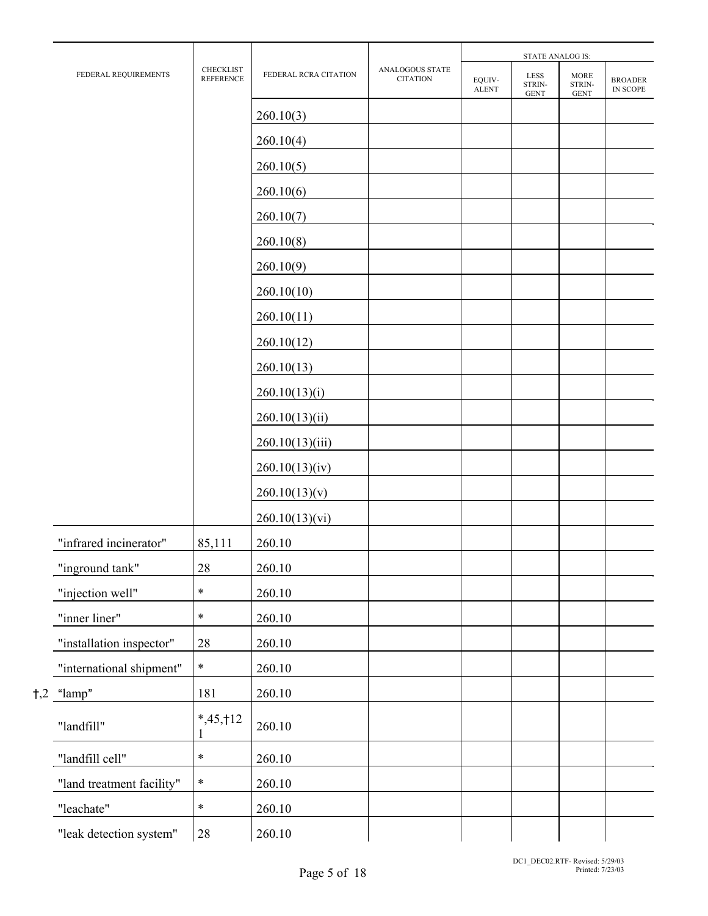|                           | STATE ANALOG IS:                     |                       |                                    |                        |                                                |                                                |                                 |
|---------------------------|--------------------------------------|-----------------------|------------------------------------|------------------------|------------------------------------------------|------------------------------------------------|---------------------------------|
| FEDERAL REQUIREMENTS      | <b>CHECKLIST</b><br><b>REFERENCE</b> | FEDERAL RCRA CITATION | ANALOGOUS STATE<br><b>CITATION</b> | EQUIV-<br><b>ALENT</b> | <b>LESS</b><br>STRIN-<br>$\operatorname{GENT}$ | <b>MORE</b><br>STRIN-<br>$\operatorname{GENT}$ | <b>BROADER</b><br>IN SCOPE $\,$ |
|                           |                                      | 260.10(3)             |                                    |                        |                                                |                                                |                                 |
|                           |                                      | 260.10(4)             |                                    |                        |                                                |                                                |                                 |
|                           |                                      | 260.10(5)             |                                    |                        |                                                |                                                |                                 |
|                           |                                      | 260.10(6)             |                                    |                        |                                                |                                                |                                 |
|                           |                                      | 260.10(7)             |                                    |                        |                                                |                                                |                                 |
|                           |                                      | 260.10(8)             |                                    |                        |                                                |                                                |                                 |
|                           |                                      | 260.10(9)             |                                    |                        |                                                |                                                |                                 |
|                           |                                      | 260.10(10)            |                                    |                        |                                                |                                                |                                 |
|                           |                                      | 260.10(11)            |                                    |                        |                                                |                                                |                                 |
|                           |                                      | 260.10(12)            |                                    |                        |                                                |                                                |                                 |
|                           |                                      | 260.10(13)            |                                    |                        |                                                |                                                |                                 |
|                           |                                      | 260.10(13)(i)         |                                    |                        |                                                |                                                |                                 |
|                           |                                      | 260.10(13)(ii)        |                                    |                        |                                                |                                                |                                 |
|                           |                                      | 260.10(13)(iii)       |                                    |                        |                                                |                                                |                                 |
|                           |                                      | 260.10(13)(iv)        |                                    |                        |                                                |                                                |                                 |
|                           |                                      | 260.10(13)(v)         |                                    |                        |                                                |                                                |                                 |
|                           |                                      | 260.10(13)(vi)        |                                    |                        |                                                |                                                |                                 |
| "infrared incinerator"    | 85,111                               | 260.10                |                                    |                        |                                                |                                                |                                 |
| "inground tank"           | $28\,$                               | 260.10                |                                    |                        |                                                |                                                |                                 |
| "injection well"          | $\ast$                               | 260.10                |                                    |                        |                                                |                                                |                                 |
| "inner liner"             | $\ast$                               | 260.10                |                                    |                        |                                                |                                                |                                 |
| "installation inspector"  | 28                                   | 260.10                |                                    |                        |                                                |                                                |                                 |
| "international shipment"  | $\ast$                               | 260.10                |                                    |                        |                                                |                                                |                                 |
| $\uparrow, 2$ "lamp"      | 181                                  | 260.10                |                                    |                        |                                                |                                                |                                 |
| "landfill"                | $*,45,112$<br>1                      | 260.10                |                                    |                        |                                                |                                                |                                 |
| "landfill cell"           | $\ast$                               | 260.10                |                                    |                        |                                                |                                                |                                 |
| "land treatment facility" | $\ast$                               | 260.10                |                                    |                        |                                                |                                                |                                 |
| "leachate"                | $\ast$                               | 260.10                |                                    |                        |                                                |                                                |                                 |
| "leak detection system"   | 28                                   | 260.10                |                                    |                        |                                                |                                                |                                 |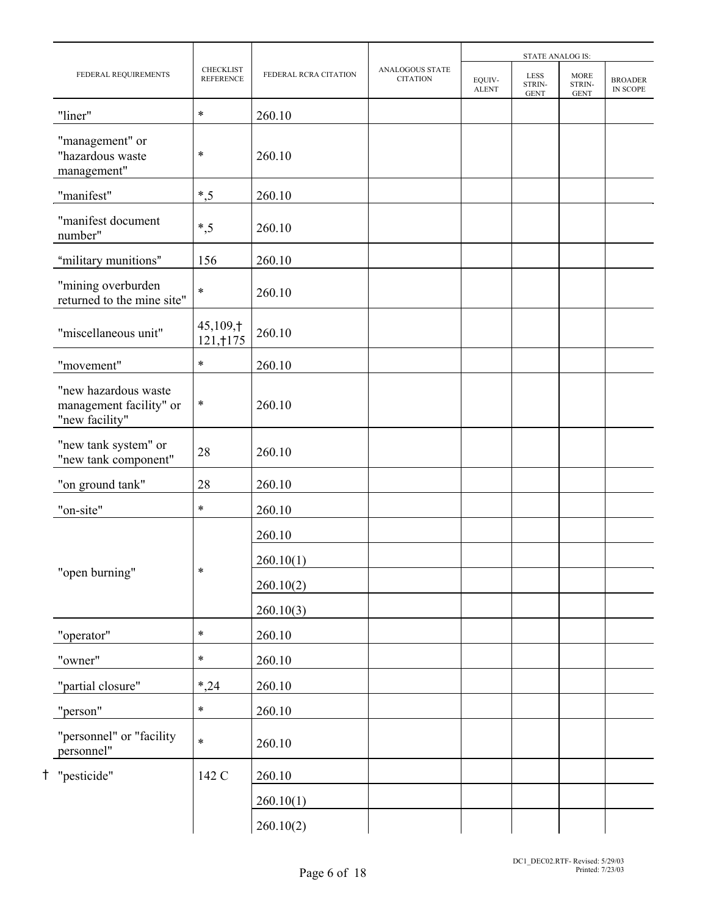|                                                                   |                               |                       |                                           | <b>STATE ANALOG IS:</b> |                                      |                                      |                            |
|-------------------------------------------------------------------|-------------------------------|-----------------------|-------------------------------------------|-------------------------|--------------------------------------|--------------------------------------|----------------------------|
| FEDERAL REQUIREMENTS                                              | CHECKLIST<br><b>REFERENCE</b> | FEDERAL RCRA CITATION | <b>ANALOGOUS STATE</b><br><b>CITATION</b> | EQUIV-<br><b>ALENT</b>  | <b>LESS</b><br>STRIN-<br><b>GENT</b> | <b>MORE</b><br>STRIN-<br><b>GENT</b> | <b>BROADER</b><br>IN SCOPE |
| "liner"                                                           | $\ast$                        | 260.10                |                                           |                         |                                      |                                      |                            |
| "management" or<br>"hazardous waste<br>management"                | $\ast$                        | 260.10                |                                           |                         |                                      |                                      |                            |
| "manifest"                                                        | $*, 5$                        | 260.10                |                                           |                         |                                      |                                      |                            |
| "manifest document<br>number"                                     | $*, 5$                        | 260.10                |                                           |                         |                                      |                                      |                            |
| "military munitions"                                              | 156                           | 260.10                |                                           |                         |                                      |                                      |                            |
| "mining overburden<br>returned to the mine site"                  | $\ast$                        | 260.10                |                                           |                         |                                      |                                      |                            |
| "miscellaneous unit"                                              | 45,109,†<br>121, † 175        | 260.10                |                                           |                         |                                      |                                      |                            |
| "movement"                                                        | $\ast$                        | 260.10                |                                           |                         |                                      |                                      |                            |
| "new hazardous waste<br>management facility" or<br>"new facility" | $\ast$                        | 260.10                |                                           |                         |                                      |                                      |                            |
| "new tank system" or<br>"new tank component"                      | 28                            | 260.10                |                                           |                         |                                      |                                      |                            |
| "on ground tank"                                                  | 28                            | 260.10                |                                           |                         |                                      |                                      |                            |
| "on-site"                                                         | $\ast$                        | 260.10                |                                           |                         |                                      |                                      |                            |
|                                                                   |                               | 260.10                |                                           |                         |                                      |                                      |                            |
|                                                                   | $\ast$                        | 260.10(1)             |                                           |                         |                                      |                                      |                            |
| "open burning"                                                    |                               | 260.10(2)             |                                           |                         |                                      |                                      |                            |
|                                                                   |                               | 260.10(3)             |                                           |                         |                                      |                                      |                            |
| "operator"                                                        | $\ast$                        | 260.10                |                                           |                         |                                      |                                      |                            |
| "owner"                                                           | $\ast$                        | 260.10                |                                           |                         |                                      |                                      |                            |
| "partial closure"                                                 | $*, 24$                       | 260.10                |                                           |                         |                                      |                                      |                            |
| "person"                                                          | $\ast$                        | 260.10                |                                           |                         |                                      |                                      |                            |
| "personnel" or "facility<br>personnel"                            | $\ast$                        | 260.10                |                                           |                         |                                      |                                      |                            |
| "pesticide"                                                       | 142 C                         | 260.10                |                                           |                         |                                      |                                      |                            |
|                                                                   |                               | 260.10(1)             |                                           |                         |                                      |                                      |                            |
|                                                                   |                               | 260.10(2)             |                                           |                         |                                      |                                      |                            |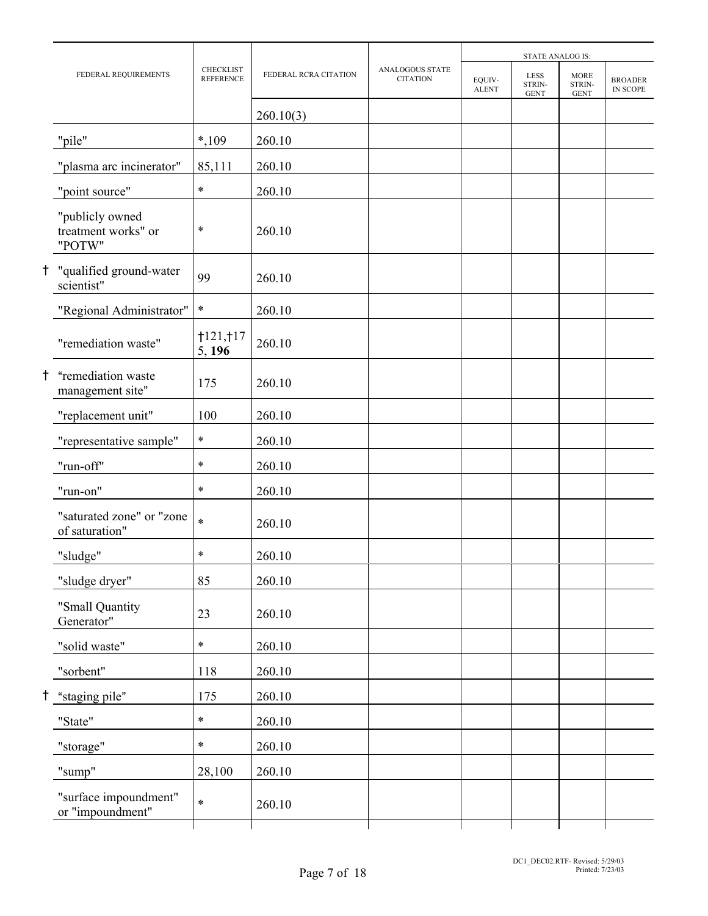|    |                                                  |                                      |                       |                                           | <b>STATE ANALOG IS:</b> |                                      |                                      |                            |
|----|--------------------------------------------------|--------------------------------------|-----------------------|-------------------------------------------|-------------------------|--------------------------------------|--------------------------------------|----------------------------|
|    | FEDERAL REQUIREMENTS                             | <b>CHECKLIST</b><br><b>REFERENCE</b> | FEDERAL RCRA CITATION | <b>ANALOGOUS STATE</b><br><b>CITATION</b> | EQUIV-<br><b>ALENT</b>  | <b>LESS</b><br>STRIN-<br><b>GENT</b> | <b>MORE</b><br>STRIN-<br><b>GENT</b> | <b>BROADER</b><br>IN SCOPE |
|    |                                                  |                                      | 260.10(3)             |                                           |                         |                                      |                                      |                            |
|    | "pile"                                           | $*,109$                              | 260.10                |                                           |                         |                                      |                                      |                            |
|    | "plasma arc incinerator"                         | 85,111                               | 260.10                |                                           |                         |                                      |                                      |                            |
|    | "point source"                                   | $\ast$                               | 260.10                |                                           |                         |                                      |                                      |                            |
|    | "publicly owned<br>treatment works" or<br>"POTW" | $\ast$                               | 260.10                |                                           |                         |                                      |                                      |                            |
|    | "qualified ground-water<br>scientist"            | 99                                   | 260.10                |                                           |                         |                                      |                                      |                            |
|    | "Regional Administrator"                         | $\ast$                               | 260.10                |                                           |                         |                                      |                                      |                            |
|    | "remediation waste"                              | 1121,117<br>5, 196                   | 260.10                |                                           |                         |                                      |                                      |                            |
| Ť. | "remediation waste<br>management site"           | 175                                  | 260.10                |                                           |                         |                                      |                                      |                            |
|    | "replacement unit"                               | 100                                  | 260.10                |                                           |                         |                                      |                                      |                            |
|    | "representative sample"                          | $\ast$                               | 260.10                |                                           |                         |                                      |                                      |                            |
|    | "run-off"                                        | $\ast$                               | 260.10                |                                           |                         |                                      |                                      |                            |
|    | "run-on"                                         | $\ast$                               | 260.10                |                                           |                         |                                      |                                      |                            |
|    | "saturated zone" or "zone<br>of saturation"      | $\ast$                               | 260.10                |                                           |                         |                                      |                                      |                            |
|    | "sludge"                                         | $\ast$                               | 260.10                |                                           |                         |                                      |                                      |                            |
|    | "sludge dryer"                                   | 85                                   | 260.10                |                                           |                         |                                      |                                      |                            |
|    | "Small Quantity<br>Generator"                    | 23                                   | 260.10                |                                           |                         |                                      |                                      |                            |
|    | "solid waste"                                    | $\ast$                               | 260.10                |                                           |                         |                                      |                                      |                            |
|    | "sorbent"                                        | 118                                  | 260.10                |                                           |                         |                                      |                                      |                            |
|    | "staging pile"                                   | 175                                  | 260.10                |                                           |                         |                                      |                                      |                            |
|    | "State"                                          | $\ast$                               | 260.10                |                                           |                         |                                      |                                      |                            |
|    | "storage"                                        | $\ast$                               | 260.10                |                                           |                         |                                      |                                      |                            |
|    | "sump"                                           | 28,100                               | 260.10                |                                           |                         |                                      |                                      |                            |
|    | "surface impoundment"<br>or "impoundment"        | $\ast$                               | 260.10                |                                           |                         |                                      |                                      |                            |
|    |                                                  |                                      |                       |                                           |                         |                                      |                                      |                            |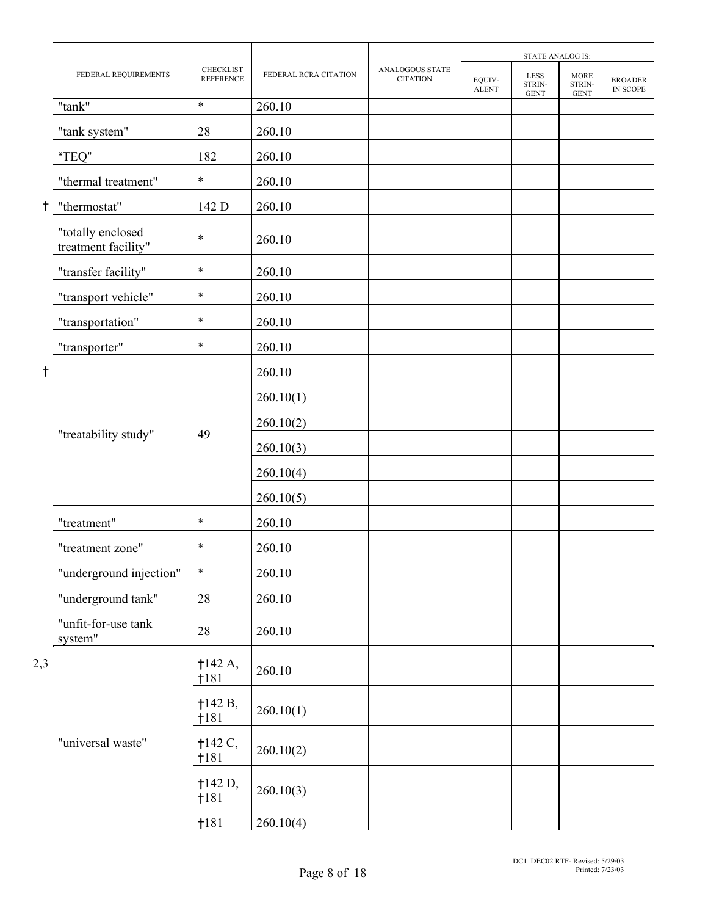|            |                                          |                                      |                       | <b>STATE ANALOG IS:</b>            |                        |                                      |                                      |                            |  |
|------------|------------------------------------------|--------------------------------------|-----------------------|------------------------------------|------------------------|--------------------------------------|--------------------------------------|----------------------------|--|
|            | FEDERAL REQUIREMENTS                     | <b>CHECKLIST</b><br><b>REFERENCE</b> | FEDERAL RCRA CITATION | ANALOGOUS STATE<br><b>CITATION</b> | EQUIV-<br><b>ALENT</b> | <b>LESS</b><br>STRIN-<br><b>GENT</b> | <b>MORE</b><br>STRIN-<br><b>GENT</b> | <b>BROADER</b><br>IN SCOPE |  |
|            | "tank"                                   | $\ast$                               | 260.10                |                                    |                        |                                      |                                      |                            |  |
|            | "tank system"                            | 28                                   | 260.10                |                                    |                        |                                      |                                      |                            |  |
|            | "TEQ"                                    | 182                                  | 260.10                |                                    |                        |                                      |                                      |                            |  |
|            | "thermal treatment"                      | $\ast$                               | 260.10                |                                    |                        |                                      |                                      |                            |  |
| $\ddagger$ | "thermostat"                             | 142 D                                | 260.10                |                                    |                        |                                      |                                      |                            |  |
|            | "totally enclosed<br>treatment facility" | $\ast$                               | 260.10                |                                    |                        |                                      |                                      |                            |  |
|            | "transfer facility"                      | *                                    | 260.10                |                                    |                        |                                      |                                      |                            |  |
|            | "transport vehicle"                      | $\ast$                               | 260.10                |                                    |                        |                                      |                                      |                            |  |
|            | "transportation"                         | $\ast$                               | 260.10                |                                    |                        |                                      |                                      |                            |  |
|            | "transporter"                            | $\ast$                               | 260.10                |                                    |                        |                                      |                                      |                            |  |
| t          |                                          |                                      | 260.10                |                                    |                        |                                      |                                      |                            |  |
|            |                                          |                                      | 260.10(1)             |                                    |                        |                                      |                                      |                            |  |
|            | "treatability study"<br>49               |                                      | 260.10(2)             |                                    |                        |                                      |                                      |                            |  |
|            |                                          | 260.10(3)                            |                       |                                    |                        |                                      |                                      |                            |  |
|            |                                          |                                      | 260.10(4)             |                                    |                        |                                      |                                      |                            |  |
|            |                                          |                                      | 260.10(5)             |                                    |                        |                                      |                                      |                            |  |
|            | "treatment"                              | $\ast$                               | 260.10                |                                    |                        |                                      |                                      |                            |  |
|            | "treatment zone"                         | $\ast$                               | 260.10                |                                    |                        |                                      |                                      |                            |  |
|            | "underground injection"                  | $\ast$                               | 260.10                |                                    |                        |                                      |                                      |                            |  |
|            | "underground tank"                       | $28\,$                               | 260.10                |                                    |                        |                                      |                                      |                            |  |
|            | "unfit-for-use tank<br>system"           | 28                                   | 260.10                |                                    |                        |                                      |                                      |                            |  |
| 2,3        |                                          | †142 A,<br>†181                      | 260.10                |                                    |                        |                                      |                                      |                            |  |
|            |                                          | 142 B,<br>†181                       | 260.10(1)             |                                    |                        |                                      |                                      |                            |  |
|            | "universal waste"                        | $+142 C,$<br>†181                    | 260.10(2)             |                                    |                        |                                      |                                      |                            |  |
|            |                                          | †142 D,<br>†181                      | 260.10(3)             |                                    |                        |                                      |                                      |                            |  |
|            |                                          | 1181                                 | 260.10(4)             |                                    |                        |                                      |                                      |                            |  |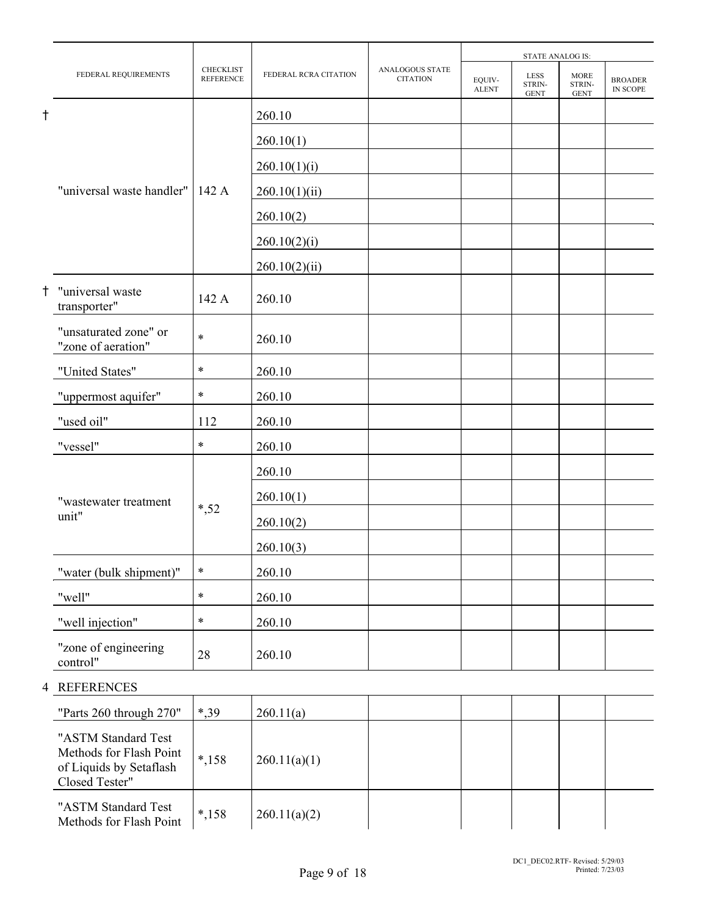|            |                                             |                                      |                       |                                    |                        | <b>STATE ANALOG IS:</b>              |                                      |                            |
|------------|---------------------------------------------|--------------------------------------|-----------------------|------------------------------------|------------------------|--------------------------------------|--------------------------------------|----------------------------|
|            | FEDERAL REQUIREMENTS                        | <b>CHECKLIST</b><br><b>REFERENCE</b> | FEDERAL RCRA CITATION | ANALOGOUS STATE<br><b>CITATION</b> | EQUIV-<br><b>ALENT</b> | <b>LESS</b><br>STRIN-<br><b>GENT</b> | <b>MORE</b><br>STRIN-<br><b>GENT</b> | <b>BROADER</b><br>IN SCOPE |
| $^\dagger$ |                                             |                                      | 260.10                |                                    |                        |                                      |                                      |                            |
|            |                                             |                                      | 260.10(1)             |                                    |                        |                                      |                                      |                            |
|            |                                             |                                      | 260.10(1)(i)          |                                    |                        |                                      |                                      |                            |
|            | "universal waste handler"                   | 142 A                                | 260.10(1)(ii)         |                                    |                        |                                      |                                      |                            |
|            |                                             |                                      | 260.10(2)             |                                    |                        |                                      |                                      |                            |
|            |                                             |                                      | 260.10(2)(i)          |                                    |                        |                                      |                                      |                            |
|            |                                             |                                      | 260.10(2)(ii)         |                                    |                        |                                      |                                      |                            |
| t          | "universal waste<br>transporter"            | 142 A                                | 260.10                |                                    |                        |                                      |                                      |                            |
|            | "unsaturated zone" or<br>"zone of aeration" | $\ast$                               | 260.10                |                                    |                        |                                      |                                      |                            |
|            | "United States"                             | $\ast$                               | 260.10                |                                    |                        |                                      |                                      |                            |
|            | "uppermost aquifer"                         | $\ast$                               | 260.10                |                                    |                        |                                      |                                      |                            |
|            | "used oil"                                  | 112                                  | 260.10                |                                    |                        |                                      |                                      |                            |
|            | "vessel"                                    | $\ast$                               | 260.10                |                                    |                        |                                      |                                      |                            |
|            |                                             |                                      | 260.10                |                                    |                        |                                      |                                      |                            |
|            | "wastewater treatment                       |                                      | 260.10(1)             |                                    |                        |                                      |                                      |                            |
|            | unit"                                       | $*, 52$                              | 260.10(2)             |                                    |                        |                                      |                                      |                            |
|            |                                             |                                      | 260.10(3)             |                                    |                        |                                      |                                      |                            |
|            | "water (bulk shipment)"                     | $\ast$                               | 260.10                |                                    |                        |                                      |                                      |                            |
|            | "well"                                      | $\ast$                               | 260.10                |                                    |                        |                                      |                                      |                            |
|            | "well injection"                            | $\ast$                               | 260.10                |                                    |                        |                                      |                                      |                            |
|            | "zone of engineering<br>control"            | $28\,$                               | 260.10                |                                    |                        |                                      |                                      |                            |

# 4 REFERENCES

| "Parts 260 through 270"                                                                     | *.39    | 260.11(a)    |  |  |  |
|---------------------------------------------------------------------------------------------|---------|--------------|--|--|--|
| "ASTM Standard Test<br>Methods for Flash Point<br>of Liquids by Setaflash<br>Closed Tester" | $*158$  | 260.11(a)(1) |  |  |  |
| "ASTM Standard Test<br>Methods for Flash Point                                              | $*,158$ | 260.11(a)(2) |  |  |  |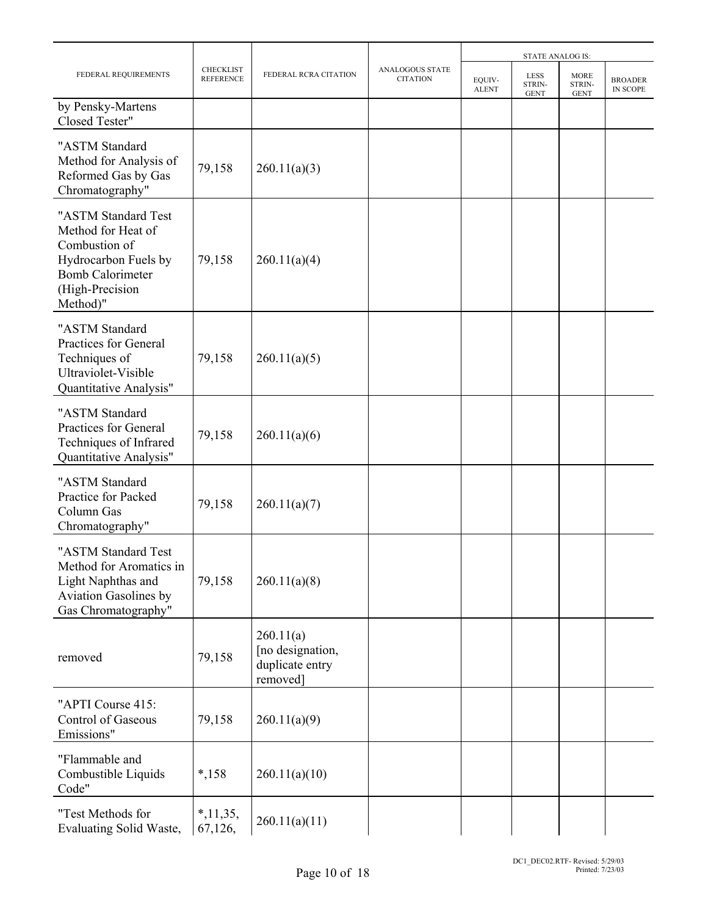|                                                                                                                                              |                                      |                                                              |                                    |                        | <b>STATE ANALOG IS:</b>              |                                      |                                   |
|----------------------------------------------------------------------------------------------------------------------------------------------|--------------------------------------|--------------------------------------------------------------|------------------------------------|------------------------|--------------------------------------|--------------------------------------|-----------------------------------|
| FEDERAL REQUIREMENTS                                                                                                                         | <b>CHECKLIST</b><br><b>REFERENCE</b> | FEDERAL RCRA CITATION                                        | ANALOGOUS STATE<br><b>CITATION</b> | EQUIV-<br><b>ALENT</b> | <b>LESS</b><br>STRIN-<br><b>GENT</b> | <b>MORE</b><br>STRIN-<br><b>GENT</b> | <b>BROADER</b><br><b>IN SCOPE</b> |
| by Pensky-Martens<br>Closed Tester"                                                                                                          |                                      |                                                              |                                    |                        |                                      |                                      |                                   |
| "ASTM Standard<br>Method for Analysis of<br>Reformed Gas by Gas<br>Chromatography"                                                           | 79,158                               | 260.11(a)(3)                                                 |                                    |                        |                                      |                                      |                                   |
| "ASTM Standard Test<br>Method for Heat of<br>Combustion of<br>Hydrocarbon Fuels by<br><b>Bomb Calorimeter</b><br>(High-Precision<br>Method)" | 79,158                               | 260.11(a)(4)                                                 |                                    |                        |                                      |                                      |                                   |
| "ASTM Standard<br>Practices for General<br>Techniques of<br>Ultraviolet-Visible<br>Quantitative Analysis"                                    | 79,158                               | 260.11(a)(5)                                                 |                                    |                        |                                      |                                      |                                   |
| "ASTM Standard<br>Practices for General<br>Techniques of Infrared<br>Quantitative Analysis"                                                  | 79,158                               | 260.11(a)(6)                                                 |                                    |                        |                                      |                                      |                                   |
| "ASTM Standard<br>Practice for Packed<br>Column Gas<br>Chromatography"                                                                       | 79,158                               | 260.11(a)(7)                                                 |                                    |                        |                                      |                                      |                                   |
| "ASTM Standard Test<br>Method for Aromatics in<br>Light Naphthas and<br>Aviation Gasolines by<br>Gas Chromatography"                         | 79,158                               | 260.11(a)(8)                                                 |                                    |                        |                                      |                                      |                                   |
| removed                                                                                                                                      | 79,158                               | 260.11(a)<br>[no designation,<br>duplicate entry<br>removed] |                                    |                        |                                      |                                      |                                   |
| "APTI Course 415:<br>Control of Gaseous<br>Emissions"                                                                                        | 79,158                               | 260.11(a)(9)                                                 |                                    |                        |                                      |                                      |                                   |
| "Flammable and<br>Combustible Liquids<br>Code"                                                                                               | $*,158$                              | 260.11(a)(10)                                                |                                    |                        |                                      |                                      |                                   |
| "Test Methods for<br>Evaluating Solid Waste,                                                                                                 | $*, 11, 35,$<br>67,126,              | 260.11(a)(11)                                                |                                    |                        |                                      |                                      |                                   |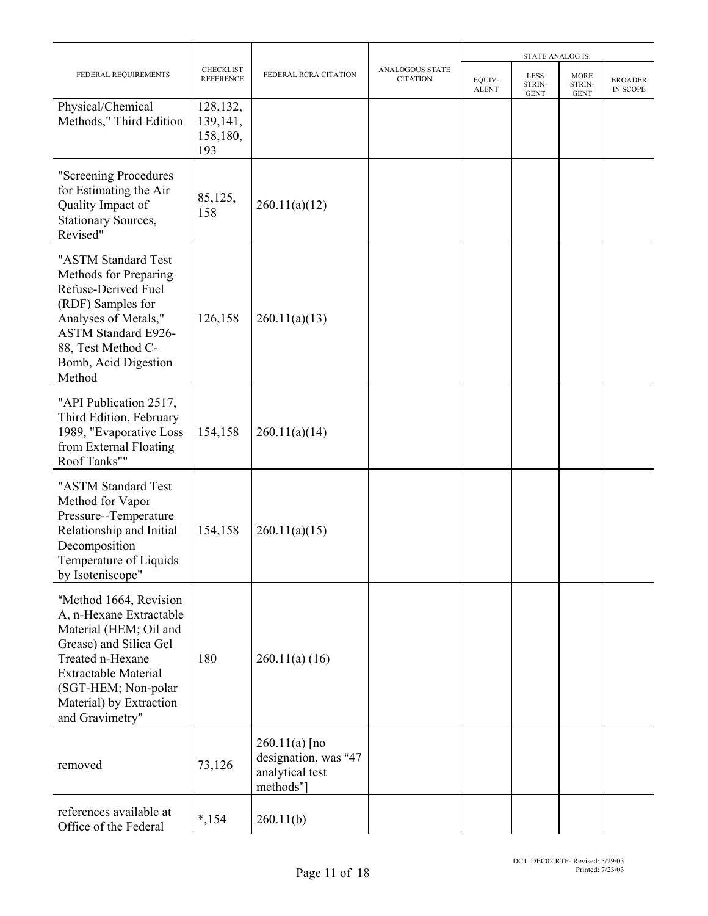|                                                                                                                                                                                                                               |                                         |                                                                         |                                    |                        | <b>STATE ANALOG IS:</b>              |                                      |                                   |
|-------------------------------------------------------------------------------------------------------------------------------------------------------------------------------------------------------------------------------|-----------------------------------------|-------------------------------------------------------------------------|------------------------------------|------------------------|--------------------------------------|--------------------------------------|-----------------------------------|
| FEDERAL REQUIREMENTS                                                                                                                                                                                                          | <b>CHECKLIST</b><br><b>REFERENCE</b>    | FEDERAL RCRA CITATION                                                   | ANALOGOUS STATE<br><b>CITATION</b> | EQUIV-<br><b>ALENT</b> | <b>LESS</b><br>STRIN-<br><b>GENT</b> | <b>MORE</b><br>STRIN-<br><b>GENT</b> | <b>BROADER</b><br><b>IN SCOPE</b> |
| Physical/Chemical<br>Methods," Third Edition                                                                                                                                                                                  | 128,132,<br>139,141,<br>158,180,<br>193 |                                                                         |                                    |                        |                                      |                                      |                                   |
| "Screening Procedures<br>for Estimating the Air<br>Quality Impact of<br>Stationary Sources,<br>Revised"                                                                                                                       | 85,125,<br>158                          | 260.11(a)(12)                                                           |                                    |                        |                                      |                                      |                                   |
| "ASTM Standard Test<br>Methods for Preparing<br>Refuse-Derived Fuel<br>(RDF) Samples for<br>Analyses of Metals,"<br><b>ASTM Standard E926-</b><br>88, Test Method C-<br>Bomb, Acid Digestion<br>Method                        | 126,158                                 | 260.11(a)(13)                                                           |                                    |                        |                                      |                                      |                                   |
| "API Publication 2517,<br>Third Edition, February<br>1989, "Evaporative Loss<br>from External Floating<br>Roof Tanks""                                                                                                        | 154,158                                 | 260.11(a)(14)                                                           |                                    |                        |                                      |                                      |                                   |
| "ASTM Standard Test<br>Method for Vapor<br>Pressure--Temperature<br>Relationship and Initial<br>Decomposition<br>Temperature of Liquids<br>by Isoteniscope"                                                                   | 154,158                                 | 260.11(a)(15)                                                           |                                    |                        |                                      |                                      |                                   |
| "Method 1664, Revision<br>A, n-Hexane Extractable<br>Material (HEM; Oil and<br>Grease) and Silica Gel<br>Treated n-Hexane<br><b>Extractable Material</b><br>(SGT-HEM; Non-polar<br>Material) by Extraction<br>and Gravimetry" | 180                                     | 260.11(a) (16)                                                          |                                    |                        |                                      |                                      |                                   |
| removed                                                                                                                                                                                                                       | 73,126                                  | $260.11(a)$ [no<br>designation, was "47<br>analytical test<br>methods"] |                                    |                        |                                      |                                      |                                   |
| references available at<br>Office of the Federal                                                                                                                                                                              | $*, 154$                                | 260.11(b)                                                               |                                    |                        |                                      |                                      |                                   |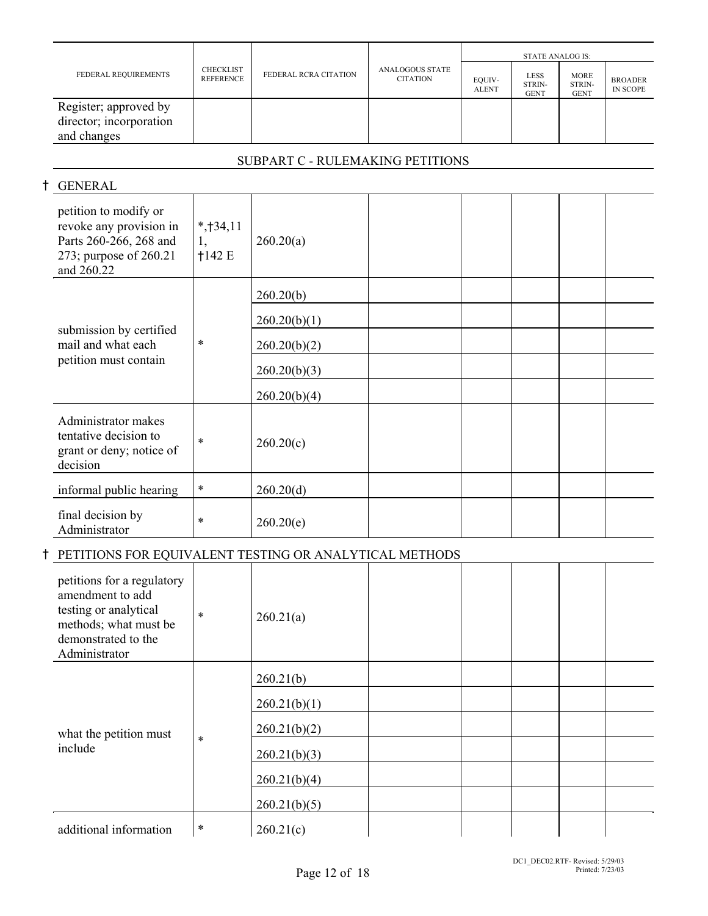|                                                                 |                               |                       |                                           | STATE ANALOG IS:       |                                      |                                      |                            |  |
|-----------------------------------------------------------------|-------------------------------|-----------------------|-------------------------------------------|------------------------|--------------------------------------|--------------------------------------|----------------------------|--|
| FEDERAL REQUIREMENTS                                            | <b>CHECKLIST</b><br>REFERENCE | FEDERAL RCRA CITATION | <b>ANALOGOUS STATE</b><br><b>CITATION</b> | EQUIV-<br><b>ALENT</b> | <b>LESS</b><br>STRIN-<br><b>GENT</b> | <b>MORE</b><br>STRIN-<br><b>GENT</b> | <b>BROADER</b><br>IN SCOPE |  |
| Register; approved by<br>director; incorporation<br>and changes |                               |                       |                                           |                        |                                      |                                      |                            |  |

# SUBPART C - RULEMAKING PETITIONS

# H GENERAL

| petition to modify or<br>revoke any provision in<br>Parts 260-266, 268 and<br>273; purpose of 260.21<br>and 260.22 | $*$ , †34, 11<br>1,<br>†142E | 260.20(a)    |  |  |  |
|--------------------------------------------------------------------------------------------------------------------|------------------------------|--------------|--|--|--|
|                                                                                                                    |                              | 260.20(b)    |  |  |  |
|                                                                                                                    |                              | 260.20(b)(1) |  |  |  |
| submission by certified<br>mail and what each                                                                      | $\ast$                       | 260.20(b)(2) |  |  |  |
| petition must contain                                                                                              |                              | 260.20(b)(3) |  |  |  |
|                                                                                                                    |                              | 260.20(b)(4) |  |  |  |
| Administrator makes<br>tentative decision to<br>grant or deny; notice of<br>decision                               | $\ast$                       | 260.20(c)    |  |  |  |
| informal public hearing                                                                                            | $\ast$                       | 260.20(d)    |  |  |  |
| final decision by<br>Administrator                                                                                 | *                            | 260.20(e)    |  |  |  |

# H PETITIONS FOR EQUIVALENT TESTING OR ANALYTICAL METHODS

| petitions for a regulatory<br>amendment to add<br>testing or analytical<br>methods; what must be<br>demonstrated to the<br>Administrator | $\ast$ | 260.21(a)    |  |  |  |
|------------------------------------------------------------------------------------------------------------------------------------------|--------|--------------|--|--|--|
|                                                                                                                                          |        | 260.21(b)    |  |  |  |
|                                                                                                                                          |        | 260.21(b)(1) |  |  |  |
| what the petition must                                                                                                                   |        | 260.21(b)(2) |  |  |  |
| include                                                                                                                                  | $\ast$ | 260.21(b)(3) |  |  |  |
|                                                                                                                                          |        | 260.21(b)(4) |  |  |  |
|                                                                                                                                          |        | 260.21(b)(5) |  |  |  |
| additional information                                                                                                                   | $\ast$ | 260.21(c)    |  |  |  |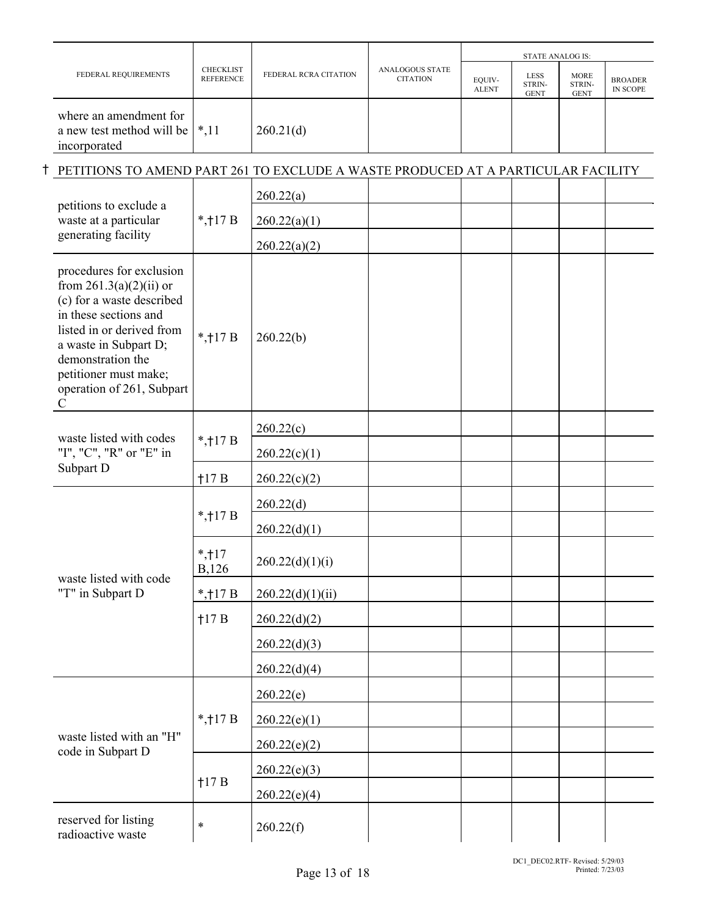|  |                                                                                                                                                                                                                                                   |                                      |                       |                                           |                        | <b>STATE ANALOG IS:</b>       |                                      |                                   |
|--|---------------------------------------------------------------------------------------------------------------------------------------------------------------------------------------------------------------------------------------------------|--------------------------------------|-----------------------|-------------------------------------------|------------------------|-------------------------------|--------------------------------------|-----------------------------------|
|  | FEDERAL REQUIREMENTS                                                                                                                                                                                                                              | <b>CHECKLIST</b><br><b>REFERENCE</b> | FEDERAL RCRA CITATION | <b>ANALOGOUS STATE</b><br><b>CITATION</b> | EQUIV-<br><b>ALENT</b> | LESS<br>STRIN-<br><b>GENT</b> | <b>MORE</b><br>STRIN-<br><b>GENT</b> | <b>BROADER</b><br><b>IN SCOPE</b> |
|  | where an amendment for<br>a new test method will be<br>incorporated                                                                                                                                                                               | $*, 11$                              | 260.21(d)             |                                           |                        |                               |                                      |                                   |
|  | PETITIONS TO AMEND PART 261 TO EXCLUDE A WASTE PRODUCED AT A PARTICULAR FACILITY                                                                                                                                                                  |                                      |                       |                                           |                        |                               |                                      |                                   |
|  | petitions to exclude a                                                                                                                                                                                                                            |                                      | 260.22(a)             |                                           |                        |                               |                                      |                                   |
|  | waste at a particular                                                                                                                                                                                                                             | *, $\uparrow$ 17 B                   | 260.22(a)(1)          |                                           |                        |                               |                                      |                                   |
|  | generating facility                                                                                                                                                                                                                               |                                      | 260.22(a)(2)          |                                           |                        |                               |                                      |                                   |
|  | procedures for exclusion<br>from $261.3(a)(2)(ii)$ or<br>(c) for a waste described<br>in these sections and<br>listed in or derived from<br>a waste in Subpart D;<br>demonstration the<br>petitioner must make;<br>operation of 261, Subpart<br>C | *, $\uparrow$ 17 B                   | 260.22(b)             |                                           |                        |                               |                                      |                                   |
|  | waste listed with codes<br>"I", "C", "R" or "E" in                                                                                                                                                                                                |                                      | 260.22(c)             |                                           |                        |                               |                                      |                                   |
|  |                                                                                                                                                                                                                                                   | *, $†17B$                            | 260.22(c)(1)          |                                           |                        |                               |                                      |                                   |
|  | Subpart D                                                                                                                                                                                                                                         | 117B                                 | 260.22(c)(2)          |                                           |                        |                               |                                      |                                   |
|  |                                                                                                                                                                                                                                                   | *, $\uparrow$ 17 B                   | 260.22(d)             |                                           |                        |                               |                                      |                                   |
|  |                                                                                                                                                                                                                                                   |                                      | 260.22(d)(1)          |                                           |                        |                               |                                      |                                   |
|  | waste listed with code                                                                                                                                                                                                                            | $*, 17$<br>B,126                     | 260.22(d)(1)(i)       |                                           |                        |                               |                                      |                                   |
|  | "T" in Subpart D                                                                                                                                                                                                                                  | *, $\uparrow$ 17 B                   | 260.22(d)(1)(ii)      |                                           |                        |                               |                                      |                                   |
|  |                                                                                                                                                                                                                                                   | 117B                                 | 260.22(d)(2)          |                                           |                        |                               |                                      |                                   |
|  |                                                                                                                                                                                                                                                   |                                      | 260.22(d)(3)          |                                           |                        |                               |                                      |                                   |
|  |                                                                                                                                                                                                                                                   |                                      | 260.22(d)(4)          |                                           |                        |                               |                                      |                                   |
|  |                                                                                                                                                                                                                                                   |                                      | 260.22(e)             |                                           |                        |                               |                                      |                                   |
|  |                                                                                                                                                                                                                                                   | *, $\uparrow$ 17 B                   | 260.22(e)(1)          |                                           |                        |                               |                                      |                                   |
|  | waste listed with an "H"<br>code in Subpart D                                                                                                                                                                                                     |                                      | 260.22(e)(2)          |                                           |                        |                               |                                      |                                   |
|  |                                                                                                                                                                                                                                                   | 117B                                 | 260.22(e)(3)          |                                           |                        |                               |                                      |                                   |
|  |                                                                                                                                                                                                                                                   |                                      | 260.22(e)(4)          |                                           |                        |                               |                                      |                                   |
|  | reserved for listing<br>radioactive waste                                                                                                                                                                                                         | $\ast$                               | 260.22(f)             |                                           |                        |                               |                                      |                                   |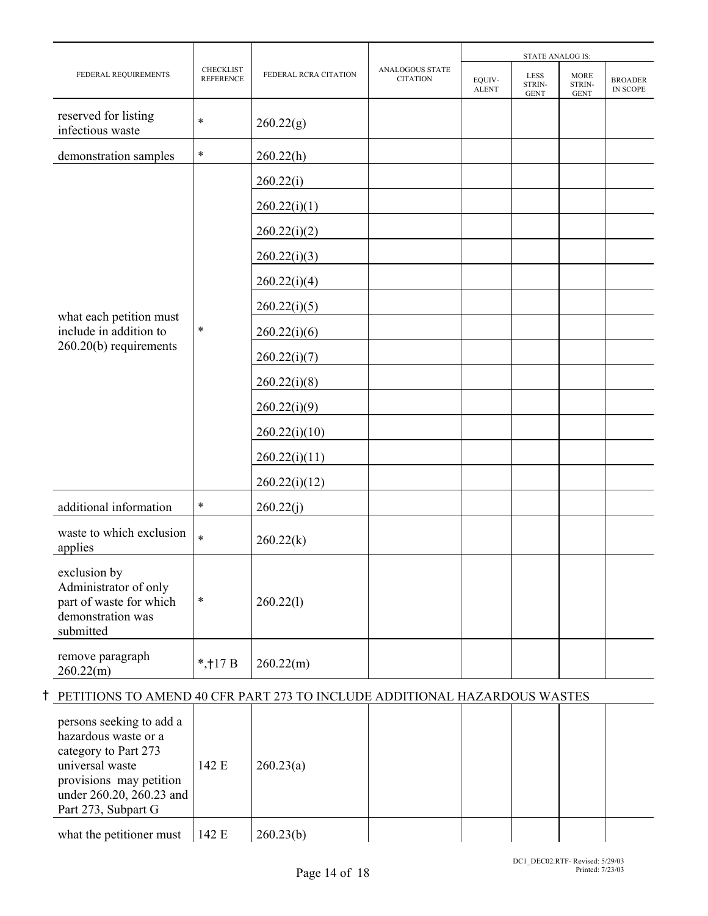|                                                                                                    |                                      |                       |                                           |                        | <b>STATE ANALOG IS:</b>              |                                      |                                   |
|----------------------------------------------------------------------------------------------------|--------------------------------------|-----------------------|-------------------------------------------|------------------------|--------------------------------------|--------------------------------------|-----------------------------------|
| FEDERAL REQUIREMENTS                                                                               | <b>CHECKLIST</b><br><b>REFERENCE</b> | FEDERAL RCRA CITATION | <b>ANALOGOUS STATE</b><br><b>CITATION</b> | EQUIV-<br><b>ALENT</b> | <b>LESS</b><br>STRIN-<br><b>GENT</b> | <b>MORE</b><br>STRIN-<br><b>GENT</b> | <b>BROADER</b><br><b>IN SCOPE</b> |
| reserved for listing<br>infectious waste                                                           | $\ast$                               | 260.22(g)             |                                           |                        |                                      |                                      |                                   |
| demonstration samples                                                                              | $\ast$                               | 260.22(h)             |                                           |                        |                                      |                                      |                                   |
|                                                                                                    |                                      | 260.22(i)             |                                           |                        |                                      |                                      |                                   |
|                                                                                                    |                                      | 260.22(i)(1)          |                                           |                        |                                      |                                      |                                   |
|                                                                                                    |                                      | 260.22(i)(2)          |                                           |                        |                                      |                                      |                                   |
|                                                                                                    |                                      | 260.22(i)(3)          |                                           |                        |                                      |                                      |                                   |
|                                                                                                    |                                      | 260.22(i)(4)          |                                           |                        |                                      |                                      |                                   |
|                                                                                                    |                                      | 260.22(i)(5)          |                                           |                        |                                      |                                      |                                   |
| what each petition must<br>include in addition to                                                  | $\ast$                               | 260.22(i)(6)          |                                           |                        |                                      |                                      |                                   |
| 260.20(b) requirements                                                                             |                                      | 260.22(i)(7)          |                                           |                        |                                      |                                      |                                   |
|                                                                                                    |                                      | 260.22(i)(8)          |                                           |                        |                                      |                                      |                                   |
|                                                                                                    |                                      | 260.22(i)(9)          |                                           |                        |                                      |                                      |                                   |
|                                                                                                    |                                      | 260.22(i)(10)         |                                           |                        |                                      |                                      |                                   |
|                                                                                                    |                                      | 260.22(i)(11)         |                                           |                        |                                      |                                      |                                   |
|                                                                                                    |                                      | 260.22(i)(12)         |                                           |                        |                                      |                                      |                                   |
| additional information                                                                             | $\ast$                               | 260.22(j)             |                                           |                        |                                      |                                      |                                   |
| waste to which exclusion<br>applies                                                                | $\ast$                               | 260.22(k)             |                                           |                        |                                      |                                      |                                   |
| exclusion by<br>Administrator of only<br>part of waste for which<br>demonstration was<br>submitted | $\ast$                               | 260.22(1)             |                                           |                        |                                      |                                      |                                   |
| remove paragraph<br>260.22(m)                                                                      | *, $\uparrow$ 17 B                   | 260.22(m)             |                                           |                        |                                      |                                      |                                   |

# H PETITIONS TO AMEND 40 CFR PART 273 TO INCLUDE ADDITIONAL HAZARDOUS WASTES

| persons seeking to add a<br>hazardous waste or a<br>category to Part 273<br>universal waste<br>provisions may petition<br>under 260.20, 260.23 and<br>Part 273, Subpart G | 142 E | 260.23(a) |  |  |  |
|---------------------------------------------------------------------------------------------------------------------------------------------------------------------------|-------|-----------|--|--|--|
| what the petitioner must                                                                                                                                                  | 142 E | 260.23(b) |  |  |  |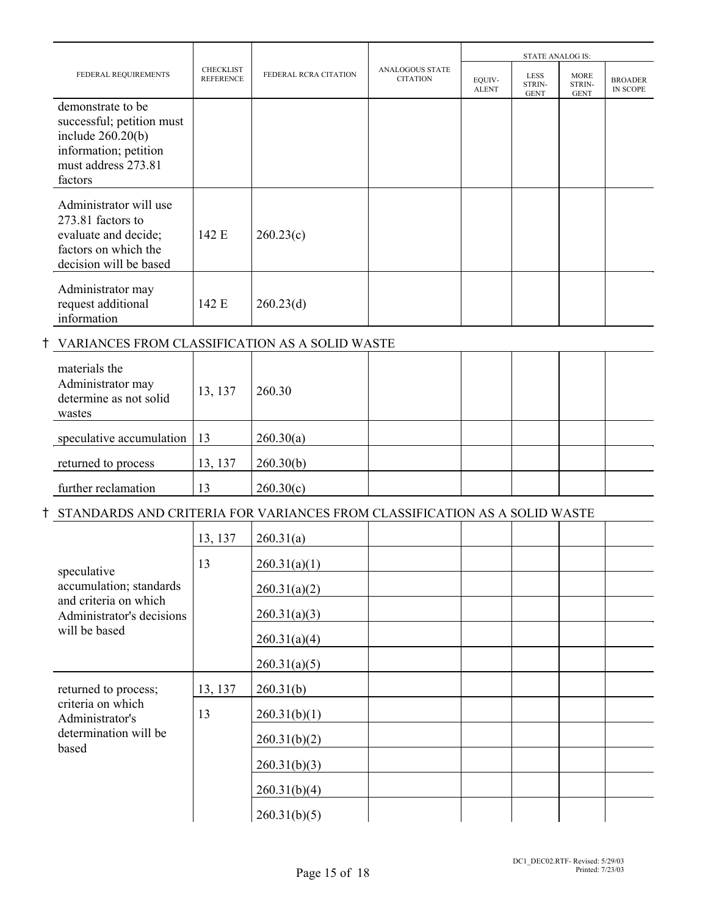|                                                                                                                                  |                                      |                              |                                           |                        | <b>STATE ANALOG IS:</b>              |                                      |                                   |  |
|----------------------------------------------------------------------------------------------------------------------------------|--------------------------------------|------------------------------|-------------------------------------------|------------------------|--------------------------------------|--------------------------------------|-----------------------------------|--|
| FEDERAL REQUIREMENTS                                                                                                             | <b>CHECKLIST</b><br><b>REFERENCE</b> | <b>FEDERAL RCRA CITATION</b> | <b>ANALOGOUS STATE</b><br><b>CITATION</b> | EQUIV-<br><b>ALENT</b> | <b>LESS</b><br>STRIN-<br><b>GENT</b> | <b>MORE</b><br>STRIN-<br><b>GENT</b> | <b>BROADER</b><br><b>IN SCOPE</b> |  |
| demonstrate to be<br>successful; petition must<br>include $260.20(b)$<br>information; petition<br>must address 273.81<br>factors |                                      |                              |                                           |                        |                                      |                                      |                                   |  |
| Administrator will use<br>273.81 factors to<br>evaluate and decide;<br>factors on which the<br>decision will be based            | 142 E                                | 260.23(c)                    |                                           |                        |                                      |                                      |                                   |  |
| Administrator may<br>request additional<br>information                                                                           | 142 E                                | 260.23(d)                    |                                           |                        |                                      |                                      |                                   |  |

## H VARIANCES FROM CLASSIFICATION AS A SOLID WASTE

| materials the<br>Administrator may<br>determine as not solid<br>wastes | 13, 137 | 260.30    |  |  |  |
|------------------------------------------------------------------------|---------|-----------|--|--|--|
| speculative accumulation $ 13$                                         |         | 260.30(a) |  |  |  |
| returned to process                                                    | 13, 137 | 260.30(b) |  |  |  |
| further reclamation                                                    | 13      | 260.30(c) |  |  |  |

## H STANDARDS AND CRITERIA FOR VARIANCES FROM CLASSIFICATION AS A SOLID WASTE

|                                                    | 13, 137 | 260.31(a)    |  |  |  |
|----------------------------------------------------|---------|--------------|--|--|--|
| speculative                                        | 13      | 260.31(a)(1) |  |  |  |
| accumulation; standards                            |         | 260.31(a)(2) |  |  |  |
| and criteria on which<br>Administrator's decisions |         | 260.31(a)(3) |  |  |  |
| will be based                                      |         | 260.31(a)(4) |  |  |  |
|                                                    |         | 260.31(a)(5) |  |  |  |
| returned to process;                               | 13, 137 | 260.31(b)    |  |  |  |
| criteria on which<br>Administrator's               | 13      | 260.31(b)(1) |  |  |  |
| determination will be<br>based                     |         | 260.31(b)(2) |  |  |  |
|                                                    |         | 260.31(b)(3) |  |  |  |
|                                                    |         | 260.31(b)(4) |  |  |  |
|                                                    |         | 260.31(b)(5) |  |  |  |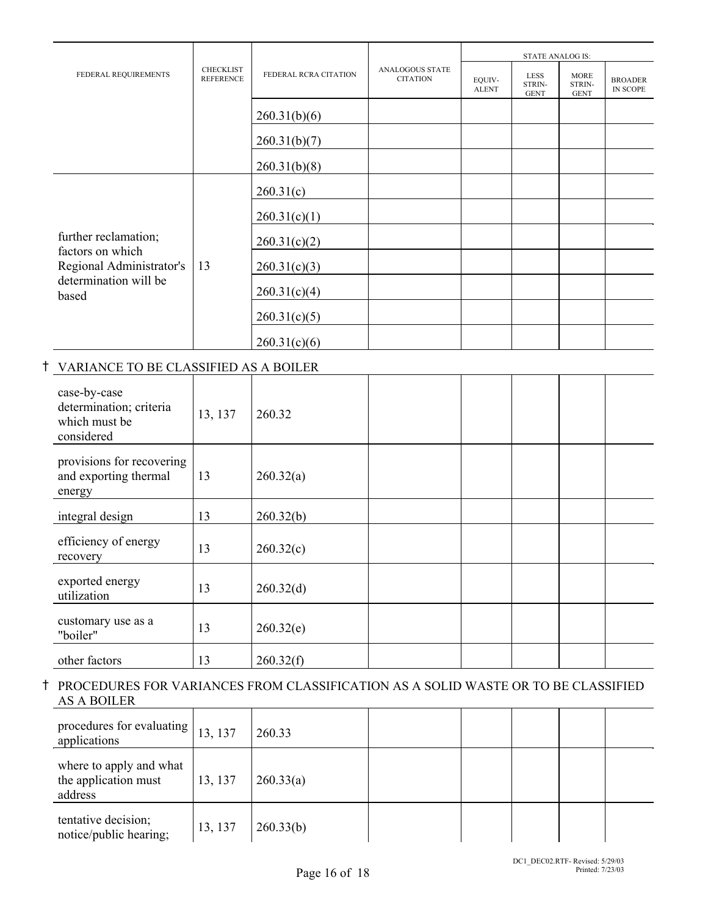|                                                                                |                                                               |                                           |                        |                                      | <b>STATE ANALOG IS:</b>              |                            |  |
|--------------------------------------------------------------------------------|---------------------------------------------------------------|-------------------------------------------|------------------------|--------------------------------------|--------------------------------------|----------------------------|--|
| FEDERAL REQUIREMENTS                                                           | <b>CHECKLIST</b><br>FEDERAL RCRA CITATION<br><b>REFERENCE</b> | <b>ANALOGOUS STATE</b><br><b>CITATION</b> | EQUIV-<br><b>ALENT</b> | <b>LESS</b><br>STRIN-<br><b>GENT</b> | <b>MORE</b><br>STRIN-<br><b>GENT</b> | <b>BROADER</b><br>IN SCOPE |  |
|                                                                                |                                                               | 260.31(b)(6)                              |                        |                                      |                                      |                            |  |
|                                                                                |                                                               | 260.31(b)(7)                              |                        |                                      |                                      |                            |  |
|                                                                                |                                                               | 260.31(b)(8)                              |                        |                                      |                                      |                            |  |
|                                                                                |                                                               | 260.31(c)                                 |                        |                                      |                                      |                            |  |
|                                                                                |                                                               | 260.31(c)(1)                              |                        |                                      |                                      |                            |  |
| further reclamation;                                                           |                                                               | 260.31(c)(2)                              |                        |                                      |                                      |                            |  |
| factors on which<br>Regional Administrator's<br>determination will be<br>based | 13                                                            | 260.31(c)(3)                              |                        |                                      |                                      |                            |  |
|                                                                                |                                                               | 260.31(c)(4)                              |                        |                                      |                                      |                            |  |
|                                                                                |                                                               | 260.31(c)(5)                              |                        |                                      |                                      |                            |  |
|                                                                                |                                                               | 260.31(c)(6)                              |                        |                                      |                                      |                            |  |

## H VARIANCE TO BE CLASSIFIED AS A BOILER

| case-by-case<br>determination; criteria<br>which must be<br>considered | 13, 137 | 260.32    |  |  |  |
|------------------------------------------------------------------------|---------|-----------|--|--|--|
| provisions for recovering<br>and exporting thermal<br>energy           | 13      | 260.32(a) |  |  |  |
| integral design                                                        | 13      | 260.32(b) |  |  |  |
| efficiency of energy<br>recovery                                       | 13      | 260.32(c) |  |  |  |
| exported energy<br>utilization                                         | 13      | 260.32(d) |  |  |  |
| customary use as a<br>"boiler"                                         | 13      | 260.32(e) |  |  |  |
| other factors                                                          | 13      | 260.32(f) |  |  |  |

### H PROCEDURES FOR VARIANCES FROM CLASSIFICATION AS A SOLID WASTE OR TO BE CLASSIFIED AS A BOILER  $\overline{\phantom{a}}$  $\overline{\phantom{a}}$  $\overline{\phantom{a}}$  $\mathbf{r}$  $\overline{\phantom{a}}$  $\overline{\phantom{a}}$  $\overline{\phantom{a}}$  $\overline{\phantom{0}}$

| procedures for evaluating<br>applications                  | 13, 137 | 260.33    |  |  |  |
|------------------------------------------------------------|---------|-----------|--|--|--|
| where to apply and what<br>the application must<br>address | 13, 137 | 260.33(a) |  |  |  |
| tentative decision;<br>notice/public hearing;              | 13, 137 | 260.33(b) |  |  |  |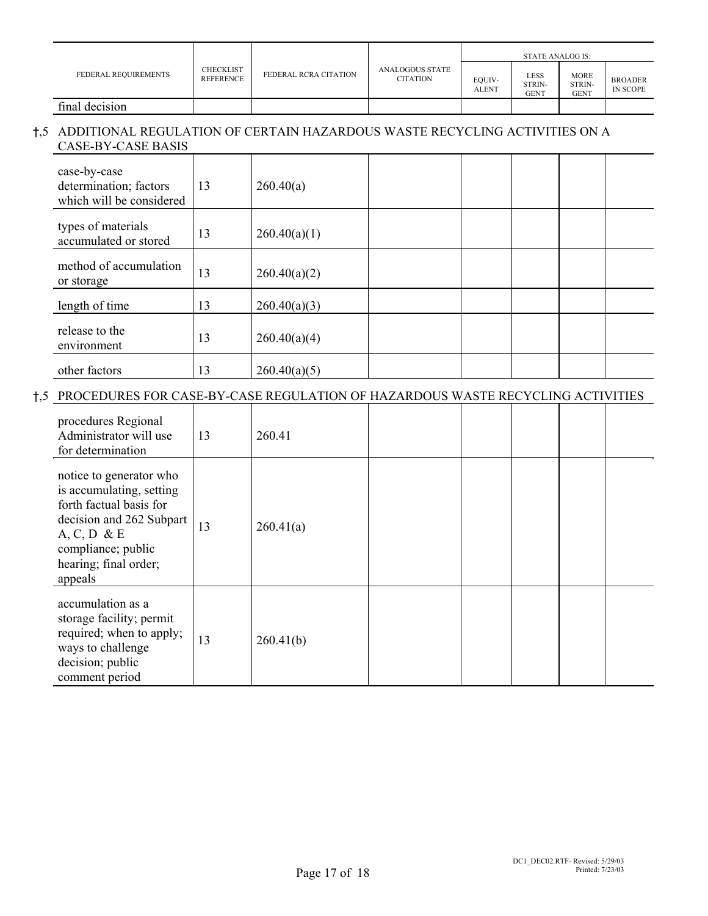|                      |                                      |                       |                                           | <b>STATE ANALOG IS:</b> |                        |                               |                                   |
|----------------------|--------------------------------------|-----------------------|-------------------------------------------|-------------------------|------------------------|-------------------------------|-----------------------------------|
| FEDERAL REQUIREMENTS | <b>CHECKLIST</b><br><b>REFERENCE</b> | FEDERAL RCRA CITATION | <b>ANALOGOUS STATE</b><br><b>CITATION</b> | EQUIV-<br><b>ALENT</b>  | LESS<br>STRIN-<br>GENT | <b>MORE</b><br>STRIN-<br>GENT | <b>BROADER</b><br><b>IN SCOPE</b> |
| final decision       |                                      |                       |                                           |                         |                        |                               |                                   |

## H,5 ADDITIONAL REGULATION OF CERTAIN HAZARDOUS WASTE RECYCLING ACTIVITIES ON A CASE-BY-CASE BASIS

| case-by-case<br>determination; factors<br>which will be considered | 13 | 260.40(a)    |  |  |  |
|--------------------------------------------------------------------|----|--------------|--|--|--|
| types of materials<br>accumulated or stored                        | 13 | 260.40(a)(1) |  |  |  |
| method of accumulation<br>or storage                               | 13 | 260.40(a)(2) |  |  |  |
| length of time                                                     | 13 | 260.40(a)(3) |  |  |  |
| release to the<br>environment                                      | 13 | 260.40(a)(4) |  |  |  |
| other factors                                                      | 13 | 260.40(a)(5) |  |  |  |

# H,5 PROCEDURES FOR CASE-BY-CASE REGULATION OF HAZARDOUS WASTE RECYCLING ACTIVITIES

| procedures Regional<br>Administrator will use<br>for determination                                                                                                                     | 13 | 260.41    |  |  |  |
|----------------------------------------------------------------------------------------------------------------------------------------------------------------------------------------|----|-----------|--|--|--|
| notice to generator who<br>is accumulating, setting<br>forth factual basis for<br>decision and 262 Subpart<br>$A, C, D \& E$<br>compliance; public<br>hearing; final order;<br>appeals | 13 | 260.41(a) |  |  |  |
| accumulation as a<br>storage facility; permit<br>required; when to apply;<br>ways to challenge<br>decision; public<br>comment period                                                   | 13 | 260.41(b) |  |  |  |